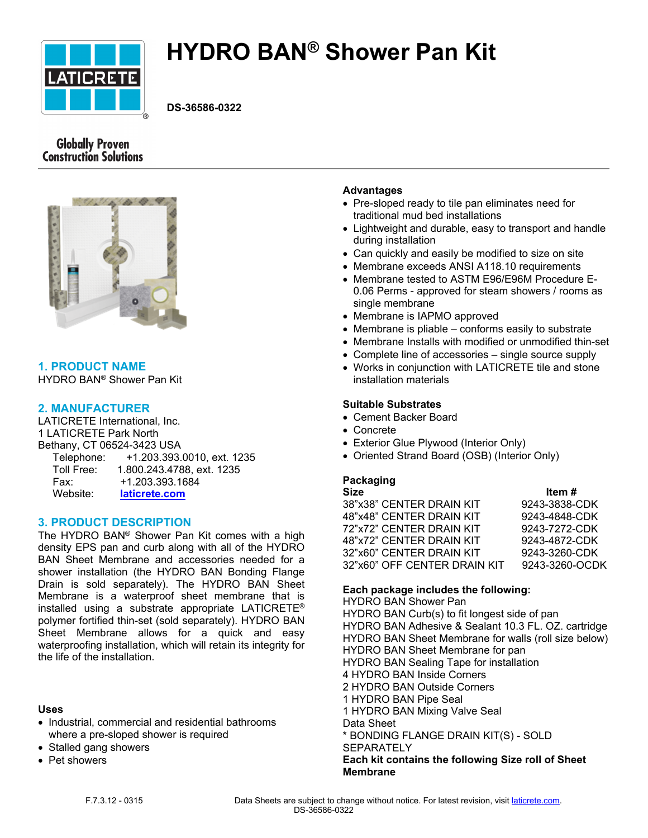

# **HYDRO BAN® Shower Pan Kit**

**DS-36586-0322**

# **Globally Proven Construction Solutions**



# **1. PRODUCT NAME**

HYDRO BAN® Shower Pan Kit

# **2. MANUFACTURER**

LATICRETE International, Inc. 1 LATICRETE Park North Bethany, CT 06524-3423 USA Telephone: +1.203.393.0010, ext. 1235 Toll Free: 1.800.243.4788, ext. 1235 Fax: +1.203.393.1684 Website: **[laticrete.com](https://laticrete.com/)**

# **3. PRODUCT DESCRIPTION**

The HYDRO BAN® Shower Pan Kit comes with a high density EPS pan and curb along with all of the HYDRO BAN Sheet Membrane and accessories needed for a shower installation (the HYDRO BAN Bonding Flange Drain is sold separately). The HYDRO BAN Sheet Membrane is a waterproof sheet membrane that is installed using a substrate appropriate LATICRETE® polymer fortified thin-set (sold separately). HYDRO BAN Sheet Membrane allows for a quick and easy waterproofing installation, which will retain its integrity for the life of the installation.

# **Uses**

- Industrial, commercial and residential bathrooms where a pre-sloped shower is required
- Stalled gang showers
- Pet showers

## **Advantages**

- Pre-sloped ready to tile pan eliminates need for traditional mud bed installations
- Lightweight and durable, easy to transport and handle during installation
- Can quickly and easily be modified to size on site
- Membrane exceeds ANSI A118.10 requirements
- Membrane tested to ASTM E96/E96M Procedure E-0.06 Perms - approved for steam showers / rooms as single membrane
- Membrane is IAPMO approved
- Membrane is pliable conforms easily to substrate
- Membrane Installs with modified or unmodified thin-set
- Complete line of accessories single source supply
- Works in conjunction with LATICRETE tile and stone installation materials

# **Suitable Substrates**

- Cement Backer Board
- Concrete
- Exterior Glue Plywood (Interior Only)
- Oriented Strand Board (OSB) (Interior Only)

# **Packaging**

| <b>Size</b>                  | Item #         |
|------------------------------|----------------|
| 38"x38" CENTER DRAIN KIT     | 9243-3838-CDK  |
| 48"x48" CENTER DRAIN KIT     | 9243-4848-CDK  |
| 72"x72" CENTER DRAIN KIT     | 9243-7272-CDK  |
| 48"x72" CENTER DRAIN KIT     | 9243-4872-CDK  |
| 32"x60" CENTER DRAIN KIT     | 9243-3260-CDK  |
| 32"x60" OFF CENTER DRAIN KIT | 9243-3260-OCDK |
|                              |                |

# **Each package includes the following:**

HYDRO BAN Shower Pan HYDRO BAN Curb(s) to fit longest side of pan HYDRO BAN Adhesive & Sealant 10.3 FL. OZ. cartridge HYDRO BAN Sheet Membrane for walls (roll size below) HYDRO BAN Sheet Membrane for pan HYDRO BAN Sealing Tape for installation 4 HYDRO BAN Inside Corners 2 HYDRO BAN Outside Corners 1 HYDRO BAN Pipe Seal 1 HYDRO BAN Mixing Valve Seal Data Sheet \* BONDING FLANGE DRAIN KIT(S) - SOLD **SEPARATELY Each kit contains the following Size roll of Sheet Membrane**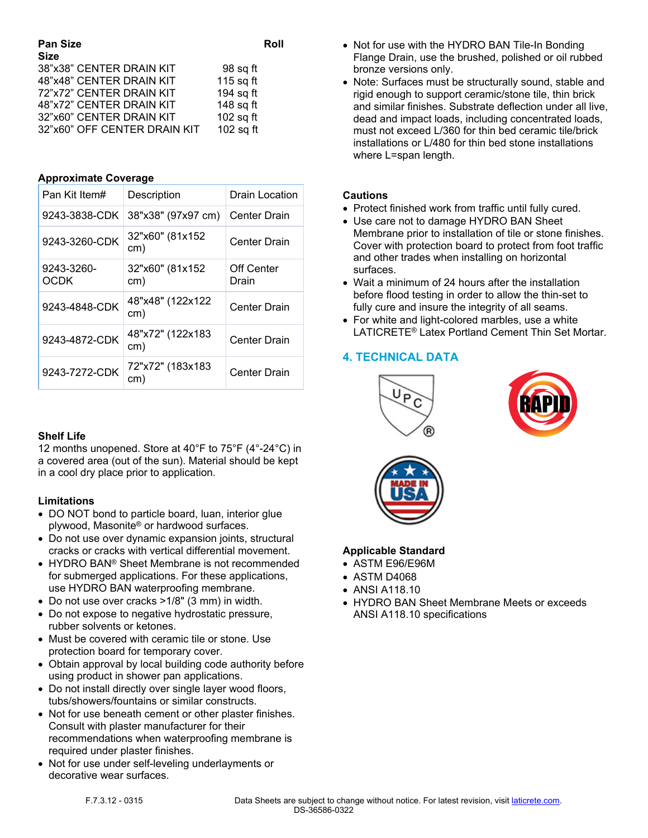| <b>Pan Size</b><br><b>Size</b> | Roll        |
|--------------------------------|-------------|
| 38"x38" CENTER DRAIN KIT       | 98 sq ft    |
| 48"x48" CENTER DRAIN KIT       | 115 sq ft   |
| 72"x72" CENTER DRAIN KIT       | 194 sq ft   |
| 48"x72" CENTER DRAIN KIT       | 148 sq ft   |
| 32"x60" CENTER DRAIN KIT       | $102$ sq ft |
| 32"x60" OFF CENTER DRAIN KIT   | $102$ sq ft |

## **Approximate Coverage**

| Pan Kit Item#      | Description             | Drain Location      |
|--------------------|-------------------------|---------------------|
| 9243-3838-CDK      | 38"x38" (97x97 cm)      | <b>Center Drain</b> |
| 9243-3260-CDK      | 32"x60" (81x152<br>cm)  | <b>Center Drain</b> |
| 9243-3260-<br>OCDK | 32"x60" (81x152<br>cm)  | Off Center<br>Drain |
| 9243-4848-CDK      | 48"x48" (122x122<br>cm) | <b>Center Drain</b> |
| 9243-4872-CDK      | 48"x72" (122x183<br>cm) | <b>Center Drain</b> |
| 9243-7272-CDK      | 72"x72" (183x183<br>cm) | Center Drain        |

# **Shelf Life**

12 months unopened. Store at 40°F to 75°F (4°-24°C) in a covered area (out of the sun). Material should be kept in a cool dry place prior to application.

#### **Limitations**

- DO NOT bond to particle board, luan, interior glue plywood, Masonite® or hardwood surfaces.
- Do not use over dynamic expansion joints, structural cracks or cracks with vertical differential movement.
- HYDRO BAN® Sheet Membrane is not recommended for submerged applications. For these applications, use HYDRO BAN waterproofing membrane.
- Do not use over cracks >1/8" (3 mm) in width.
- Do not expose to negative hydrostatic pressure, rubber solvents or ketones.
- Must be covered with ceramic tile or stone. Use protection board for temporary cover.
- Obtain approval by local building code authority before using product in shower pan applications.
- Do not install directly over single layer wood floors, tubs/showers/fountains or similar constructs.
- Not for use beneath cement or other plaster finishes. Consult with plaster manufacturer for their recommendations when waterproofing membrane is required under plaster finishes.
- Not for use under self-leveling underlayments or decorative wear surfaces.
- Not for use with the HYDRO BAN Tile-In Bonding Flange Drain, use the brushed, polished or oil rubbed bronze versions only.
- Note: Surfaces must be structurally sound, stable and rigid enough to support ceramic/stone tile, thin brick and similar finishes. Substrate deflection under all live, dead and impact loads, including concentrated loads, must not exceed L/360 for thin bed ceramic tile/brick installations or L/480 for thin bed stone installations where L=span length.

## **Cautions**

- Protect finished work from traffic until fully cured.
- Use care not to damage HYDRO BAN Sheet Membrane prior to installation of tile or stone finishes. Cover with protection board to protect from foot traffic and other trades when installing on horizontal surfaces.
- Wait a minimum of 24 hours after the installation before flood testing in order to allow the thin-set to fully cure and insure the integrity of all seams.
- For white and light-colored marbles, use a white LATICRETE® Latex Portland Cement Thin Set Mortar.

# **4. TECHNICAL DATA**







# **Applicable Standard**

- ASTM E96/E96M
- ASTM D4068
- ANSI A118.10
- HYDRO BAN Sheet Membrane Meets or exceeds ANSI A118.10 specifications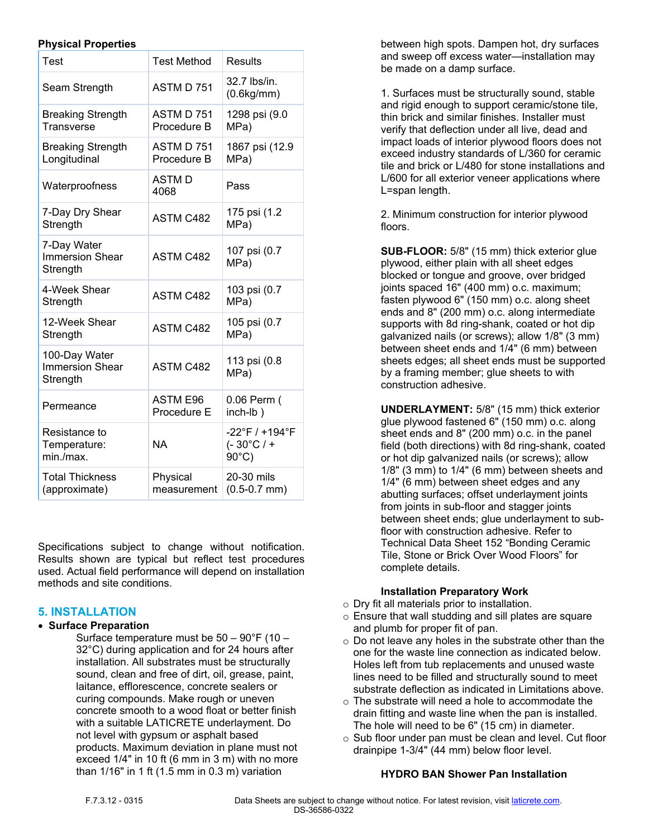## **Physical Properties**

| Test                                                | <b>Test Method</b>             | Results                                                 |
|-----------------------------------------------------|--------------------------------|---------------------------------------------------------|
| Seam Strength                                       | ASTM D 751                     | 32.7 lbs/in.<br>(0.6kg/mm)                              |
| <b>Breaking Strength</b><br>Transverse              | ASTM D 751<br>Procedure B      | 1298 psi (9.0<br>MPa)                                   |
| <b>Breaking Strength</b><br>Longitudinal            | ASTM D 751<br>Procedure B      | 1867 psi (12.9<br>MPa)                                  |
| Waterproofness                                      | <b>ASTMD</b><br>4068           | Pass                                                    |
| 7-Day Dry Shear<br>Strength                         | <b>ASTM C482</b>               | 175 psi (1.2<br>MPa)                                    |
| 7-Day Water<br><b>Immersion Shear</b><br>Strength   | <b>ASTM C482</b>               | 107 psi (0.7<br>MPa)                                    |
| 4-Week Shear<br>Strength                            | <b>ASTM C482</b>               | 103 psi (0.7<br>MPa)                                    |
| 12-Week Shear<br>Strength                           | <b>ASTM C482</b>               | 105 psi (0.7<br>MPa)                                    |
| 100-Day Water<br><b>Immersion Shear</b><br>Strength | <b>ASTM C482</b>               | 113 psi (0.8<br>MPa)                                    |
| Permeance                                           | <b>ASTM E96</b><br>Procedure E | 0.06 Perm (<br>inch-lb)                                 |
| Resistance to<br>Temperature:<br>min./max.          | <b>NA</b>                      | -22°F / +194°F<br>$(-30^{\circ}C/$ +<br>$90^{\circ}$ C) |
| <b>Total Thickness</b><br>(approximate)             | Physical<br>measurement        | 20-30 mils<br>$(0.5 - 0.7$ mm)                          |

Specifications subject to change without notification. Results shown are typical but reflect test procedures used. Actual field performance will depend on installation methods and site conditions.

# **5. INSTALLATION**

#### • **Surface Preparation**

Surface temperature must be 50 – 90°F (10 – 32°C) during application and for 24 hours after installation. All substrates must be structurally sound, clean and free of dirt, oil, grease, paint, laitance, efflorescence, concrete sealers or curing compounds. Make rough or uneven concrete smooth to a wood float or better finish with a suitable LATICRETE underlayment. Do not level with gypsum or asphalt based products. Maximum deviation in plane must not exceed 1/4" in 10 ft (6 mm in 3 m) with no more than 1/16" in 1 ft (1.5 mm in 0.3 m) variation

between high spots. Dampen hot, dry surfaces and sweep off excess water—installation may be made on a damp surface.

1. Surfaces must be structurally sound, stable and rigid enough to support ceramic/stone tile, thin brick and similar finishes. Installer must verify that deflection under all live, dead and impact loads of interior plywood floors does not exceed industry standards of L/360 for ceramic tile and brick or L/480 for stone installations and L/600 for all exterior veneer applications where L=span length.

2. Minimum construction for interior plywood floors.

**SUB-FLOOR:** 5/8" (15 mm) thick exterior glue plywood, either plain with all sheet edges blocked or tongue and groove, over bridged joints spaced 16" (400 mm) o.c. maximum; fasten plywood 6" (150 mm) o.c. along sheet ends and 8" (200 mm) o.c. along intermediate supports with 8d ring-shank, coated or hot dip galvanized nails (or screws); allow 1/8" (3 mm) between sheet ends and 1/4" (6 mm) between sheets edges; all sheet ends must be supported by a framing member; glue sheets to with construction adhesive.

**UNDERLAYMENT:** 5/8" (15 mm) thick exterior glue plywood fastened 6" (150 mm) o.c. along sheet ends and 8" (200 mm) o.c. in the panel field (both directions) with 8d ring-shank, coated or hot dip galvanized nails (or screws); allow 1/8" (3 mm) to 1/4" (6 mm) between sheets and 1/4" (6 mm) between sheet edges and any abutting surfaces; offset underlayment joints from joints in sub-floor and stagger joints between sheet ends; glue underlayment to subfloor with construction adhesive. Refer to Technical Data Sheet 152 "Bonding Ceramic Tile, Stone or Brick Over Wood Floors" for complete details.

# **Installation Preparatory Work**

- o Dry fit all materials prior to installation.
- o Ensure that wall studding and sill plates are square and plumb for proper fit of pan.
- o Do not leave any holes in the substrate other than the one for the waste line connection as indicated below. Holes left from tub replacements and unused waste lines need to be filled and structurally sound to meet substrate deflection as indicated in Limitations above.
- $\circ$  The substrate will need a hole to accommodate the drain fitting and waste line when the pan is installed. The hole will need to be 6" (15 cm) in diameter.
- o Sub floor under pan must be clean and level. Cut floor drainpipe 1-3/4" (44 mm) below floor level.

# **HYDRO BAN Shower Pan Installation**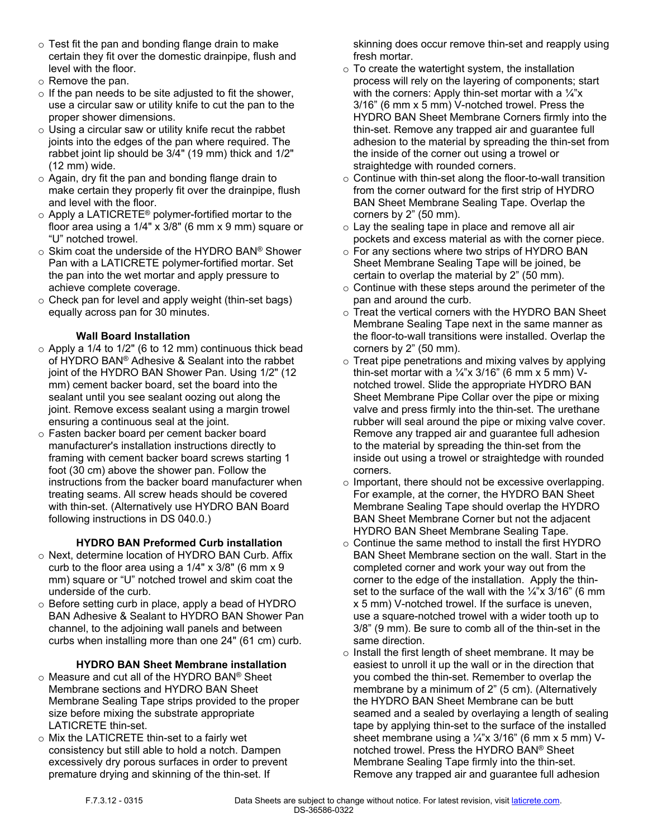- $\circ$  Test fit the pan and bonding flange drain to make certain they fit over the domestic drainpipe, flush and level with the floor.
- o Remove the pan.
- $\circ$  If the pan needs to be site adjusted to fit the shower, use a circular saw or utility knife to cut the pan to the proper shower dimensions.
- $\circ$  Using a circular saw or utility knife recut the rabbet joints into the edges of the pan where required. The rabbet joint lip should be 3/4" (19 mm) thick and 1/2" (12 mm) wide.
- o Again, dry fit the pan and bonding flange drain to make certain they properly fit over the drainpipe, flush and level with the floor.
- $\circ$  Apply a LATICRETE® polymer-fortified mortar to the floor area using a 1/4" x 3/8" (6 mm x 9 mm) square or "U" notched trowel.
- o Skim coat the underside of the HYDRO BAN® Shower Pan with a LATICRETE polymer-fortified mortar. Set the pan into the wet mortar and apply pressure to achieve complete coverage.
- o Check pan for level and apply weight (thin-set bags) equally across pan for 30 minutes.

# **Wall Board Installation**

- $\circ$  Apply a 1/4 to 1/2" (6 to 12 mm) continuous thick bead of HYDRO BAN® Adhesive & Sealant into the rabbet joint of the HYDRO BAN Shower Pan. Using 1/2" (12 mm) cement backer board, set the board into the sealant until you see sealant oozing out along the joint. Remove excess sealant using a margin trowel ensuring a continuous seal at the joint.
- o Fasten backer board per cement backer board manufacturer's installation instructions directly to framing with cement backer board screws starting 1 foot (30 cm) above the shower pan. Follow the instructions from the backer board manufacturer when treating seams. All screw heads should be covered with thin-set. (Alternatively use HYDRO BAN Board following instructions in DS 040.0.)

# **HYDRO BAN Preformed Curb installation**

- o Next, determine location of HYDRO BAN Curb. Affix curb to the floor area using a 1/4" x 3/8" (6 mm x 9 mm) square or "U" notched trowel and skim coat the underside of the curb.
- o Before setting curb in place, apply a bead of HYDRO BAN Adhesive & Sealant to HYDRO BAN Shower Pan channel, to the adjoining wall panels and between curbs when installing more than one 24" (61 cm) curb.

# **HYDRO BAN Sheet Membrane installation**

- o Measure and cut all of the HYDRO BAN® Sheet Membrane sections and HYDRO BAN Sheet Membrane Sealing Tape strips provided to the proper size before mixing the substrate appropriate LATICRETE thin-set.
- o Mix the LATICRETE thin-set to a fairly wet consistency but still able to hold a notch. Dampen excessively dry porous surfaces in order to prevent premature drying and skinning of the thin-set. If

skinning does occur remove thin-set and reapply using fresh mortar.

- $\circ$  To create the watertight system, the installation process will rely on the layering of components; start with the corners: Apply thin-set mortar with a  $\frac{1}{4}x$ 3/16" (6 mm x 5 mm) V-notched trowel. Press the HYDRO BAN Sheet Membrane Corners firmly into the thin-set. Remove any trapped air and guarantee full adhesion to the material by spreading the thin-set from the inside of the corner out using a trowel or straightedge with rounded corners.
- $\circ$  Continue with thin-set along the floor-to-wall transition from the corner outward for the first strip of HYDRO BAN Sheet Membrane Sealing Tape. Overlap the corners by 2" (50 mm).
- o Lay the sealing tape in place and remove all air pockets and excess material as with the corner piece.
- o For any sections where two strips of HYDRO BAN Sheet Membrane Sealing Tape will be joined, be certain to overlap the material by 2" (50 mm).
- o Continue with these steps around the perimeter of the pan and around the curb.
- o Treat the vertical corners with the HYDRO BAN Sheet Membrane Sealing Tape next in the same manner as the floor-to-wall transitions were installed. Overlap the corners by 2" (50 mm).
- $\circ$  Treat pipe penetrations and mixing valves by applying thin-set mortar with a  $\frac{1}{4}x$  3/16" (6 mm x 5 mm) Vnotched trowel. Slide the appropriate HYDRO BAN Sheet Membrane Pipe Collar over the pipe or mixing valve and press firmly into the thin-set. The urethane rubber will seal around the pipe or mixing valve cover. Remove any trapped air and guarantee full adhesion to the material by spreading the thin-set from the inside out using a trowel or straightedge with rounded corners.
- o Important, there should not be excessive overlapping. For example, at the corner, the HYDRO BAN Sheet Membrane Sealing Tape should overlap the HYDRO BAN Sheet Membrane Corner but not the adjacent HYDRO BAN Sheet Membrane Sealing Tape.
- o Continue the same method to install the first HYDRO BAN Sheet Membrane section on the wall. Start in the completed corner and work your way out from the corner to the edge of the installation. Apply the thinset to the surface of the wall with the  $\frac{1}{4}$ "x 3/16" (6 mm x 5 mm) V-notched trowel. If the surface is uneven, use a square-notched trowel with a wider tooth up to 3/8" (9 mm). Be sure to comb all of the thin-set in the same direction.
- o Install the first length of sheet membrane. It may be easiest to unroll it up the wall or in the direction that you combed the thin-set. Remember to overlap the membrane by a minimum of 2" (5 cm). (Alternatively the HYDRO BAN Sheet Membrane can be butt seamed and a sealed by overlaying a length of sealing tape by applying thin-set to the surface of the installed sheet membrane using a  $\frac{1}{4}$ "x 3/16" (6 mm x 5 mm) Vnotched trowel. Press the HYDRO BAN® Sheet Membrane Sealing Tape firmly into the thin-set. Remove any trapped air and guarantee full adhesion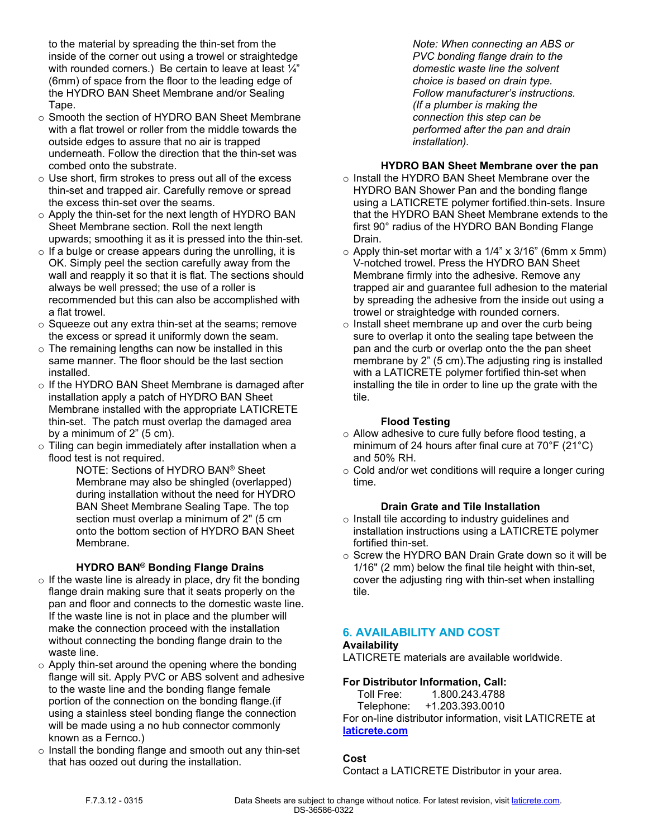to the material by spreading the thin-set from the inside of the corner out using a trowel or straightedge with rounded corners.) Be certain to leave at least  $\frac{1}{4}$ " (6mm) of space from the floor to the leading edge of the HYDRO BAN Sheet Membrane and/or Sealing Tape.

- o Smooth the section of HYDRO BAN Sheet Membrane with a flat trowel or roller from the middle towards the outside edges to assure that no air is trapped underneath. Follow the direction that the thin-set was combed onto the substrate.
- o Use short, firm strokes to press out all of the excess thin-set and trapped air. Carefully remove or spread the excess thin-set over the seams.
- o Apply the thin-set for the next length of HYDRO BAN Sheet Membrane section. Roll the next length upwards; smoothing it as it is pressed into the thin-set.
- $\circ$  If a bulge or crease appears during the unrolling, it is OK. Simply peel the section carefully away from the wall and reapply it so that it is flat. The sections should always be well pressed; the use of a roller is recommended but this can also be accomplished with a flat trowel.
- o Squeeze out any extra thin-set at the seams; remove the excess or spread it uniformly down the seam.
- o The remaining lengths can now be installed in this same manner. The floor should be the last section installed.
- o If the HYDRO BAN Sheet Membrane is damaged after installation apply a patch of HYDRO BAN Sheet Membrane installed with the appropriate LATICRETE thin-set. The patch must overlap the damaged area by a minimum of 2" (5 cm).
- o Tiling can begin immediately after installation when a flood test is not required.

NOTE: Sections of HYDRO BAN® Sheet Membrane may also be shingled (overlapped) during installation without the need for HYDRO BAN Sheet Membrane Sealing Tape. The top section must overlap a minimum of 2" (5 cm onto the bottom section of HYDRO BAN Sheet Membrane.

# **HYDRO BAN® Bonding Flange Drains**

- $\circ$  If the waste line is already in place, dry fit the bonding flange drain making sure that it seats properly on the pan and floor and connects to the domestic waste line. If the waste line is not in place and the plumber will make the connection proceed with the installation without connecting the bonding flange drain to the waste line.
- o Apply thin-set around the opening where the bonding flange will sit. Apply PVC or ABS solvent and adhesive to the waste line and the bonding flange female portion of the connection on the bonding flange.(if using a stainless steel bonding flange the connection will be made using a no hub connector commonly known as a Fernco.)
- $\circ$  Install the bonding flange and smooth out any thin-set that has oozed out during the installation.

*Note: When connecting an ABS or PVC bonding flange drain to the domestic waste line the solvent choice is based on drain type. Follow manufacturer's instructions. (If a plumber is making the connection this step can be performed after the pan and drain installation).*

## **HYDRO BAN Sheet Membrane over the pan**

- o Install the HYDRO BAN Sheet Membrane over the HYDRO BAN Shower Pan and the bonding flange using a LATICRETE polymer fortified.thin-sets. Insure that the HYDRO BAN Sheet Membrane extends to the first 90° radius of the HYDRO BAN Bonding Flange Drain.
- $\circ$  Apply thin-set mortar with a 1/4" x 3/16" (6mm x 5mm) V-notched trowel. Press the HYDRO BAN Sheet Membrane firmly into the adhesive. Remove any trapped air and guarantee full adhesion to the material by spreading the adhesive from the inside out using a trowel or straightedge with rounded corners.
- o Install sheet membrane up and over the curb being sure to overlap it onto the sealing tape between the pan and the curb or overlap onto the the pan sheet membrane by 2" (5 cm).The adjusting ring is installed with a LATICRETE polymer fortified thin-set when installing the tile in order to line up the grate with the tile.

## **Flood Testing**

- o Allow adhesive to cure fully before flood testing, a minimum of 24 hours after final cure at 70°F (21°C) and 50% RH.
- $\circ$  Cold and/or wet conditions will require a longer curing time.

## **Drain Grate and Tile Installation**

- o Install tile according to industry guidelines and installation instructions using a LATICRETE polymer fortified thin-set.
- $\circ$  Screw the HYDRO BAN Drain Grate down so it will be 1/16" (2 mm) below the final tile height with thin-set, cover the adjusting ring with thin-set when installing tile.

# **6. AVAILABILITY AND COST**

# **Availability**

LATICRETE materials are available worldwide.

# **For Distributor Information, Call:**

Toll Free: 1.800.243.4788

 Telephone: +1.203.393.0010 For on-line distributor information, visit LATICRETE at **[laticrete.com](https://laticrete.com/)**

# **Cost**

Contact a LATICRETE Distributor in your area.